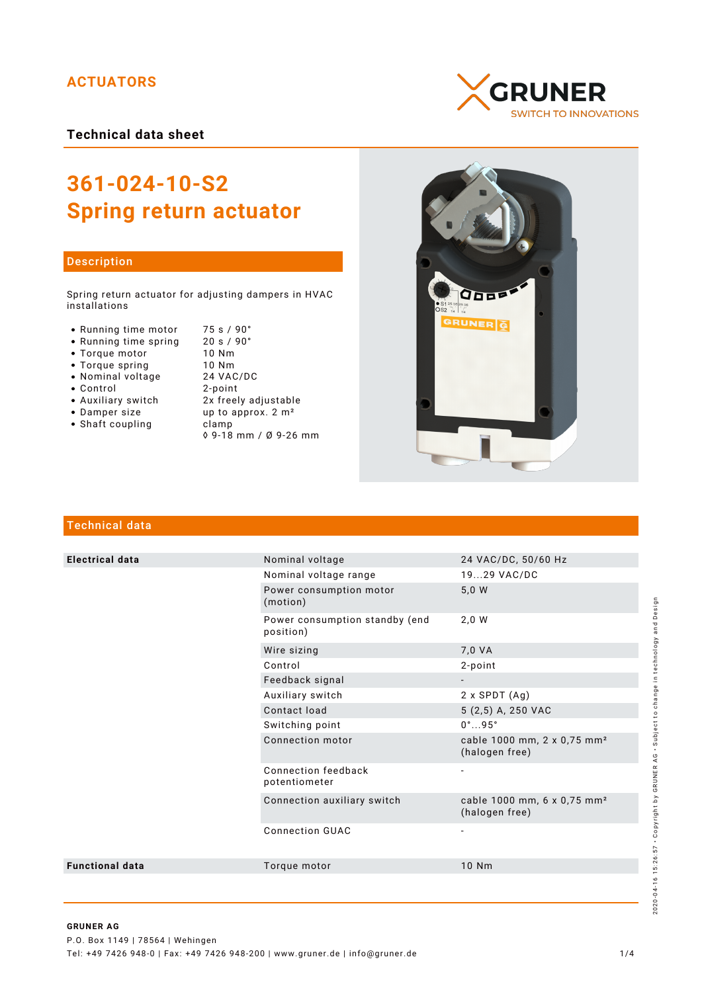# **ACTUATORS**

**Technical data sheet**

# **361-024-10-S2 Spring return actuator**

### Description

Spring return actuator for adjusting dampers in HVAC installations

- Running time motor 75 s / 90°<br>• Running time spring 20 s / 90°
- Running time spring 20 s /<br>• Torque motor 10 Nm
- Torque motor 10 Nm
- 
- Nominal voltage
- 
- Control 2-point
- 
- Shaft coupling becamp
- Torque spring 10 Nm<br>• Nominal voltage 24 VAC/DC • Auxiliary switch 2x freely adjustable<br>• Damper size up to approx. 2 m<sup>2</sup> up to approx.  $2 \text{ m}^2$ 
	- ◊ 9-18 mm / Ø 9-26 mm





# Technical data

| <b>Electrical data</b> | Nominal voltage                             | 24 VAC/DC, 50/60 Hz                                       |
|------------------------|---------------------------------------------|-----------------------------------------------------------|
|                        | Nominal voltage range                       | 1929 VAC/DC                                               |
|                        | Power consumption motor<br>(motion)         | 5,0 W                                                     |
|                        | Power consumption standby (end<br>position) | 2,0 W                                                     |
|                        | Wire sizing                                 | 7,0 VA                                                    |
|                        | Control                                     | 2-point                                                   |
|                        | Feedback signal                             |                                                           |
|                        | Auxiliary switch                            | $2 \times$ SPDT $(Ag)$                                    |
|                        | Contact load                                | 5 (2,5) A, 250 VAC                                        |
|                        | Switching point                             | $0^{\circ}$ 95 $^{\circ}$                                 |
|                        | Connection motor                            | cable 1000 mm, 2 x 0,75 mm <sup>2</sup><br>(halogen free) |
|                        | Connection feedback<br>potentiometer        | $\overline{a}$                                            |
|                        | Connection auxiliary switch                 | cable 1000 mm, 6 x 0,75 mm <sup>2</sup><br>(halogen free) |
|                        | <b>Connection GUAC</b>                      |                                                           |
| <b>Functional data</b> | Torque motor                                | 10 Nm                                                     |
|                        |                                             |                                                           |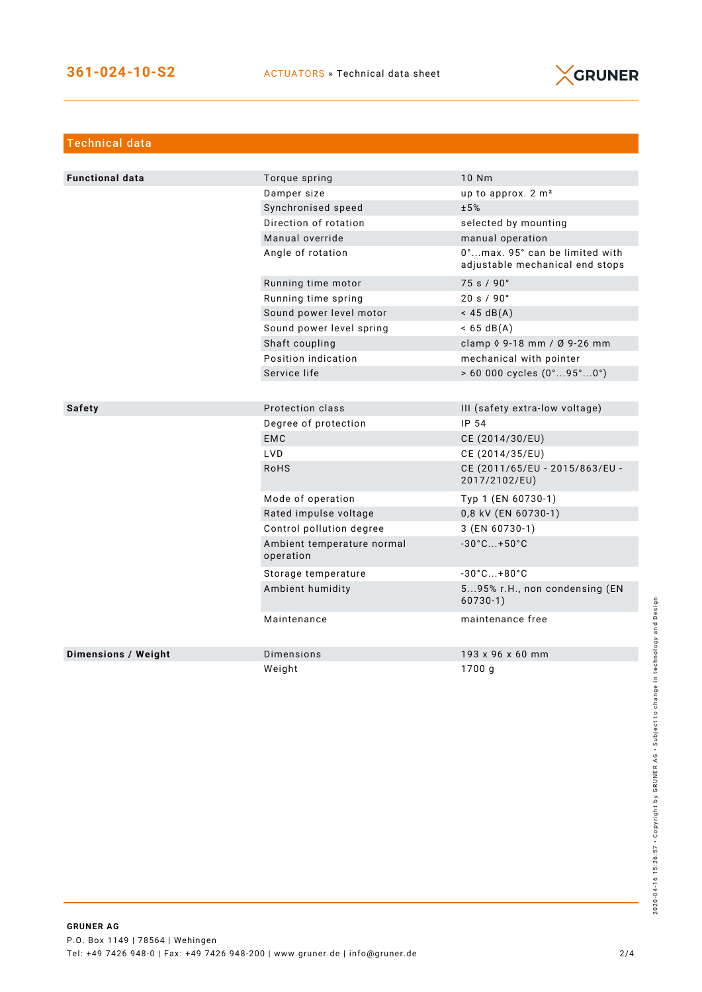

| <b>Technical data</b>      |                                         |                                                                   |
|----------------------------|-----------------------------------------|-------------------------------------------------------------------|
|                            |                                         |                                                                   |
| <b>Functional data</b>     | Torque spring                           | 10 Nm                                                             |
|                            | Damper size                             | up to approx. 2 m <sup>2</sup>                                    |
|                            | Synchronised speed                      | ±5%                                                               |
|                            | Direction of rotation                   | selected by mounting                                              |
|                            | Manual override                         | manual operation                                                  |
|                            | Angle of rotation                       | 0°max. 95° can be limited with<br>adjustable mechanical end stops |
|                            | Running time motor                      | 75 s / 90°                                                        |
|                            | Running time spring                     | 20 s / 90°                                                        |
|                            | Sound power level motor                 | $<$ 45 dB(A)                                                      |
|                            | Sound power level spring                | $< 65 \text{ dB(A)}$                                              |
|                            | Shaft coupling                          | clamp 0 9-18 mm / Ø 9-26 mm                                       |
|                            | Position indication                     | mechanical with pointer                                           |
|                            | Service life                            | $> 60000$ cycles $(0^{\circ}95^{\circ}0^{\circ})$                 |
|                            |                                         |                                                                   |
| <b>Safety</b>              | Protection class                        | III (safety extra-low voltage)                                    |
|                            | Degree of protection                    | IP 54                                                             |
|                            | <b>EMC</b>                              | CE (2014/30/EU)                                                   |
|                            | <b>LVD</b>                              | CE (2014/35/EU)                                                   |
|                            | <b>RoHS</b>                             | CE (2011/65/EU - 2015/863/EU -<br>2017/2102/EU)                   |
|                            | Mode of operation                       | Typ 1 (EN 60730-1)                                                |
|                            | Rated impulse voltage                   | 0,8 kV (EN 60730-1)                                               |
|                            | Control pollution degree                | 3 (EN 60730-1)                                                    |
|                            | Ambient temperature normal<br>operation | $-30^{\circ}$ C +50 $^{\circ}$ C                                  |
|                            | Storage temperature                     | $-30^{\circ}$ C +80 $^{\circ}$ C                                  |
|                            | Ambient humidity                        | 595% r.H., non condensing (EN<br>$60730-1)$                       |
|                            | Maintenance                             | maintenance free                                                  |
| <b>Dimensions / Weight</b> | Dimensions                              | 193 x 96 x 60 mm                                                  |
|                            | Weight                                  | 1700 g                                                            |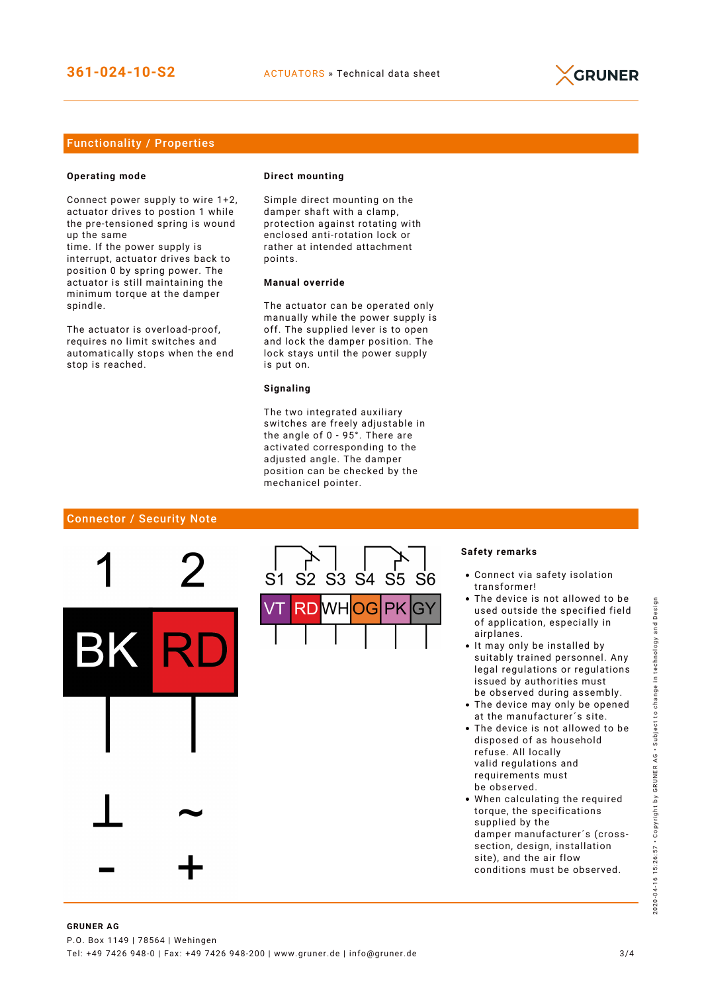

## Functionality / Properties

#### **Operating mode**

Connect power supply to wire 1+2, actuator drives to postion 1 while the pre-tensioned spring is wound up the same

time. If the power supply is interrupt, actuator drives back to position 0 by spring power. The actuator is still maintaining the minimum torque at the damper spindle.

The actuator is overload-proof, requires no limit switches and automatically stops when the end stop is reached.

#### **Direct mounting**

Simple direct mounting on the damper shaft with a clamp, protection against rotating with enclosed anti-rotation lock or rather at intended attachment points.

## **Manual override**

The actuator can be operated only manually while the power supply is off. The supplied lever is to open and lock the damper position. The lock stays until the power supply is put on.

#### **Signaling**

The two integrated auxiliary switches are freely adjustable in the angle of 0 - 95°. There are activated corresponding to the adjusted angle. The damper position can be checked by the mechanicel pointer.

#### Connector / Security Note



#### **Safety remarks**

- Connect via safety isolation transformer!
- The device is not allowed to be used outside the specified field of application, especially in airplanes.
- It may only be installed by suitably trained personnel. Any legal regulations or regulations issued by authorities must be observed during assembly.
- The device may only be opened at the manufacturer´s site.
- The device is not allowed to be disposed of as household refuse. All locally valid regulations and requirements must be observed.
- When calculating the required torque, the specifications supplied by the damper manufacturer´s (crosssection, design, installation site), and the air flow conditions must be observed.